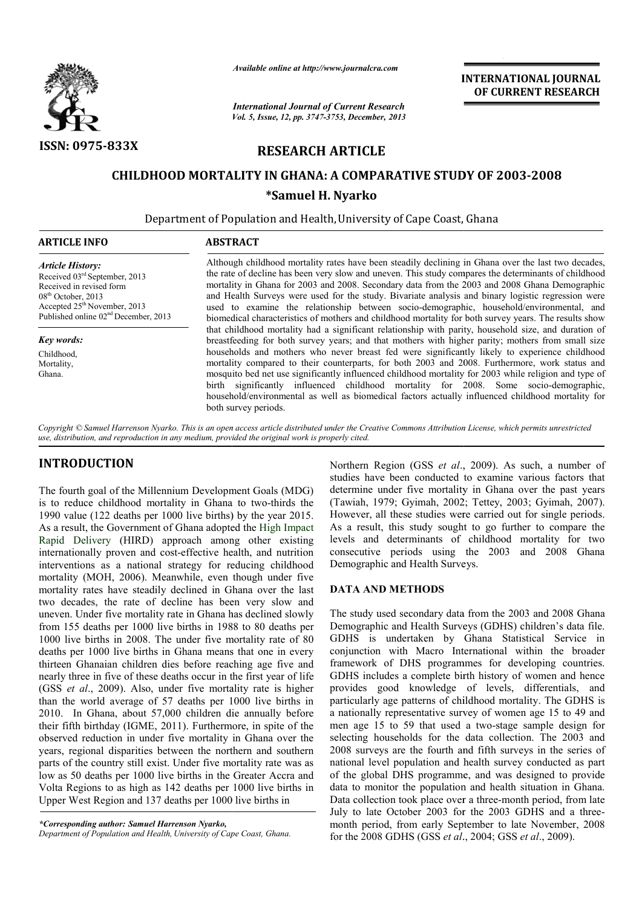

*Available online at http://www.journalcra.com*

*Vol. 5, Issue, 12, pp. 3747-3753, December, 2013 International Journal of Current Research* INTERNATIONAL JOURNAL OF CURRENT RESEARCH

## RESEARCH ARTICLE

# CHILDHOOD MORTALITY IN GHANA: A COMPARATIVE STUDY OF 2003-2008 \*Samuel H. Nyarko

Department of Population and Health, University of Cape Coast, Ghana

| <b>ARTICLE INFO</b>                                                                                                                                                                                          | <b>ABSTRACT</b>                                                                                                                                                                                                                                                                                                                                                                                                                                                                                                                                                                                                         |  |  |
|--------------------------------------------------------------------------------------------------------------------------------------------------------------------------------------------------------------|-------------------------------------------------------------------------------------------------------------------------------------------------------------------------------------------------------------------------------------------------------------------------------------------------------------------------------------------------------------------------------------------------------------------------------------------------------------------------------------------------------------------------------------------------------------------------------------------------------------------------|--|--|
| <b>Article History:</b><br>Received 03rd September, 2013<br>Received in revised form<br>$08th$ October, 2013<br>Accepted 25 <sup>th</sup> November, 2013<br>Published online 02 <sup>nd</sup> December, 2013 | Although childhood mortality rates have been steadily declining in Ghana over the last two decades,<br>the rate of decline has been very slow and uneven. This study compares the determinants of childhood<br>mortality in Ghana for 2003 and 2008. Secondary data from the 2003 and 2008 Ghana Demographic<br>and Health Surveys were used for the study. Bivariate analysis and binary logistic regression were<br>used to examine the relationship between socio-demographic, household/environmental, and<br>biomedical characteristics of mothers and childhood mortality for both survey years. The results show |  |  |
| <b>Key words:</b>                                                                                                                                                                                            | that childhood mortality had a significant relationship with parity, household size, and duration of<br>breastfeeding for both survey years; and that mothers with higher parity; mothers from small size                                                                                                                                                                                                                                                                                                                                                                                                               |  |  |
| Childhood,<br>Mortality,<br>Ghana.                                                                                                                                                                           | households and mothers who never breast fed were significantly likely to experience childhood<br>mortality compared to their counterparts, for both 2003 and 2008. Furthermore, work status and<br>mosquito bed net use significantly influenced childhood mortality for 2003 while religion and type of<br>birth significantly influenced childhood mortality for 2008. Some socio-demographic,<br>household/environmental as well as biomedical factors actually influenced childhood mortality for<br>both survey periods.                                                                                           |  |  |

Copyright © Samuel Harrenson Nyarko. This is an open access article distributed under the Creative Commons Attribution License, which permits unrestricted *use, distribution, and reproduction in any medium, provided the original work is properly cited.*

## INTRODUCTION

The fourth goal of the Millennium Development Goals (MDG) is to reduce childhood mortality in Ghana to two-thirds the 1990 value (122 deaths per 1000 live births) by the year 2015. As a result, the Government of Ghana adopted the High Impact Rapid Delivery (HIRD) approach among other existing internationally proven and cost-effective health, and nutrition interventions as a national strategy for reducing childhood mortality (MOH, 2006). Meanwhile, even though under five internationally proven and cost-effective health, and nutrition<br>interventions as a national strategy for reducing childhood<br>mortality (MOH, 2006). Meanwhile, even though under five<br>mortality rates have steadily declined in two decades, the rate of decline has been very slow and uneven. Under five mortality rate in Ghana has declined slowly from 155 deaths per 1000 live births in 1988 to 80 deaths per 1000 live births in 2008. The under five mortality rate of 80 deaths per 1000 live births in Ghana means that one in every thirteen Ghanaian children dies before reaching age five and nearly three in five of these deaths occur in the first year of life (GSS *et al.*, 2009). Also, under five mortality rate is higher than the world average of 57 deaths per 1000 live births in 2010. In Ghana, about 57,000 children die annually before their fifth birthday (IGME, 2011). Furthermore, in spite of the observed reduction in under five mortality in Ghana over the years, regional disparities between the northern and southern parts of the country still exist. Under five mortality rate was as low as 50 deaths per 1000 live births in the Greater Accra and Volta Regions to as high as 142 deaths per 1000 live births in Upper West Region and 137 deaths per 1000 live births in ir fifth birthday (IGME, 2011).<br>erved reduction in under five 1<br>rs, regional disparities betweer<br>ts of the country still exist. Und<br>as 50 deaths per 1000 live birt<br>ta Regions to as high as 142 do<br>per West Region and 137 de

Department of Population and Health, University of Cape Coast, Ghana.

Northern Region (GSS *et al*., 2009). As such, a number of studies have been conducted to examine various factors that determine under five mortality in Ghana over the past years (Tawiah, 1979; Gyimah, 2002; Tettey, 2003; Gyimah, 2007). studies have been conducted to examine various factors that determine under five mortality in Ghana over the past years (Tawiah, 1979; Gyimah, 2002; Tettey, 2003; Gyimah, 2007). However, all these studies were carried out As a result, this study sought to go further to compare the levels and determinants of childhood mortality for two consecutive periods using the 2003 and 2008 Ghana Demographic and Health Surveys. this study sought to go further to compare the determinants of childhood mortality for two periods using the 2003 and 2008 Ghana

### DATA AND METHODS

The study used secondary data from the 2003 and 2008 Ghana Demographic and Health Surveys (GDHS) children's data file. GDHS is undertaken by Ghana Statistical Service in conjunction with Macro International within the broader framework of DHS programmes for developing countries. GDHS includes a complete birth history of women and hence provides good knowledge of levels, differentials, and particularly age patterns of childhood mortality. The GDHS is a nationally representative survey of women age 15 to 49 and a nationally representative survey of women age 15 to 49 and<br>men age 15 to 59 that used a two-stage sample design for selecting households for the data collection. The 2003 and 2008 surveys are the fourth and fifth surveys in the series of national level population and health survey conducted as part selecting households for the data collection. The 2003 and 2008 surveys are the fourth and fifth surveys in the series of national level population and health survey conducted as part of the global DHS programme, and was d data to monitor the population and health situation in Ghana. data to monitor the population and health situation in Ghana.<br>Data collection took place over a three-month period, from late July to late October 2003 for the 2003 GDHS and a threemonth period, from early September to late November, 2008 month period, from early September to late November<br>for the 2008 GDHS (GSS *et al.*, 2004; GSS *et al.*, 2009). phic and Health Surveys (GDHS) children's data file.<br>is undertaken by Ghana Statistical Service in<br>ion with Macro International within the broader<br>rk of DHS programmes for developing countries. includes a complete birth history of women and hence<br>s good knowledge of levels, differentials, and<br>arly age patterns of childhood mortality. The GDHS is

*<sup>\*</sup>Corresponding author: Samuel Harrenson Nyarko,*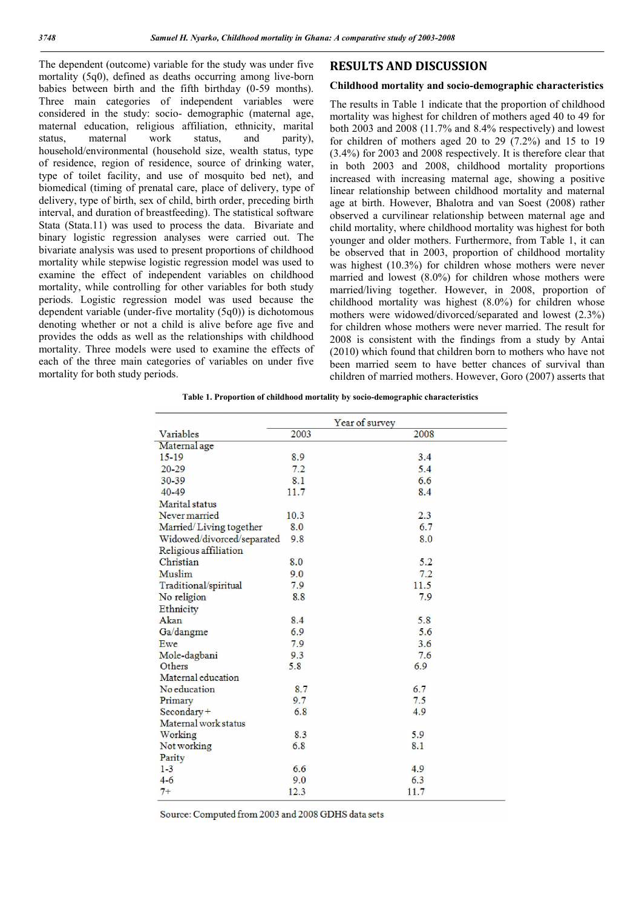The dependent (outcome) variable for the study was under five mortality (5q0), defined as deaths occurring among live-born babies between birth and the fifth birthday (0-59 months). Three main categories of independent variables were considered in the study: socio- demographic (maternal age, maternal education, religious affiliation, ethnicity, marital status, maternal work status, and parity), household/environmental (household size, wealth status, type of residence, region of residence, source of drinking water, type of toilet facility, and use of mosquito bed net), and biomedical (timing of prenatal care, place of delivery, type of delivery, type of birth, sex of child, birth order, preceding birth interval, and duration of breastfeeding). The statistical software Stata (Stata.11) was used to process the data. Bivariate and binary logistic regression analyses were carried out. The bivariate analysis was used to present proportions of childhood mortality while stepwise logistic regression model was used to examine the effect of independent variables on childhood mortality, while controlling for other variables for both study periods. Logistic regression model was used because the dependent variable (under-five mortality (5q0)) is dichotomous denoting whether or not a child is alive before age five and provides the odds as well as the relationships with childhood mortality. Three models were used to examine the effects of each of the three main categories of variables on under five mortality for both study periods.

## RESULTS AND DISCUSSION

#### Childhood mortality and socio-demographic characteristics

The results in Table 1 indicate that the proportion of childhood mortality was highest for children of mothers aged 40 to 49 for both 2003 and 2008 (11.7% and 8.4% respectively) and lowest for children of mothers aged 20 to 29 (7.2%) and 15 to 19 (3.4%) for 2003 and 2008 respectively. It is therefore clear that in both 2003 and 2008, childhood mortality proportions increased with increasing maternal age, showing a positive linear relationship between childhood mortality and maternal age at birth. However, Bhalotra and van Soest (2008) rather observed a curvilinear relationship between maternal age and child mortality, where childhood mortality was highest for both younger and older mothers. Furthermore, from Table 1, it can be observed that in 2003, proportion of childhood mortality was highest (10.3%) for children whose mothers were never married and lowest (8.0%) for children whose mothers were married/living together. However, in 2008, proportion of childhood mortality was highest (8.0%) for children whose mothers were widowed/divorced/separated and lowest (2.3%) for children whose mothers were never married. The result for 2008 is consistent with the findings from a study by Antai (2010) which found that children born to mothers who have not been married seem to have better chances of survival than children of married mothers. However, Goro (2007) asserts that

| Table 1. Proportion of childhood mortality by socio-demographic characteristics |  |  |  |  |
|---------------------------------------------------------------------------------|--|--|--|--|
|---------------------------------------------------------------------------------|--|--|--|--|

|                            |      | Year of survey |
|----------------------------|------|----------------|
| Variables                  | 2003 | 2008           |
| Maternal age               |      |                |
| 15-19                      | 8.9  | 3.4            |
| $20 - 29$                  | 7.2  | 5.4            |
| 30-39                      | 8.1  | 6.6            |
| 40-49                      | 11.7 | 8.4            |
| Marital status             |      |                |
| Never married              | 10.3 | 2.3            |
| Married/Living together    | 8.0  | 6.7            |
| Widowed/divorced/separated | 9.8  | 8.0            |
| Religious affiliation      |      |                |
| Christian                  | 8.0  | 5.2            |
| Muslim                     | 9.0  | 7.2            |
| Traditional/spiritual      | 7.9  | 11.5           |
| No religion                | 8.8  | 7.9            |
| Ethnicity                  |      |                |
| Akan                       | 8.4  | 5.8            |
| Ga/dangme                  | 6.9  | 5.6            |
| Ewe                        | 7.9  | 3.6            |
| Mole-dagbani               | 9.3  | 7.6            |
| Others                     | 5.8  | 6.9            |
| Maternal education         |      |                |
| No education               | 8.7  | 6.7            |
| Primary                    | 9.7  | 7.5            |
| Secondary+                 | 6.8  | 4.9            |
| Maternal work status       |      |                |
| Working                    | 8.3  | 5.9            |
| Not working                | 6.8  | 8.1            |
| Parity                     |      |                |
| $1 - 3$                    | 6.6  | 4.9            |
| $4 - 6$                    | 9.0  | 6.3            |
| $7+$                       | 12.3 | 11.7           |

Source: Computed from 2003 and 2008 GDHS data sets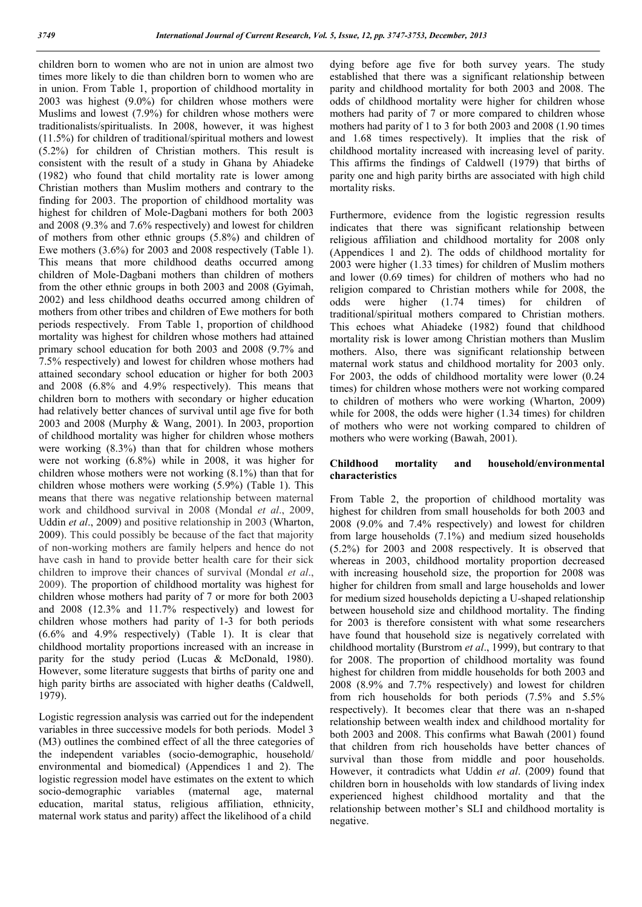children born to women who are not in union are almost two times more likely to die than children born to women who are in union. From Table 1, proportion of childhood mortality in 2003 was highest (9.0%) for children whose mothers were Muslims and lowest (7.9%) for children whose mothers were traditionalists/spiritualists. In 2008, however, it was highest (11.5%) for children of traditional/spiritual mothers and lowest (5.2%) for children of Christian mothers. This result is consistent with the result of a study in Ghana by Ahiadeke (1982) who found that child mortality rate is lower among Christian mothers than Muslim mothers and contrary to the finding for 2003. The proportion of childhood mortality was highest for children of Mole-Dagbani mothers for both 2003 and 2008 (9.3% and 7.6% respectively) and lowest for children of mothers from other ethnic groups (5.8%) and children of Ewe mothers (3.6%) for 2003 and 2008 respectively (Table 1). This means that more childhood deaths occurred among children of Mole-Dagbani mothers than children of mothers from the other ethnic groups in both 2003 and 2008 (Gyimah, 2002) and less childhood deaths occurred among children of mothers from other tribes and children of Ewe mothers for both periods respectively. From Table 1, proportion of childhood mortality was highest for children whose mothers had attained primary school education for both 2003 and 2008 (9.7% and 7.5% respectively) and lowest for children whose mothers had attained secondary school education or higher for both 2003 and 2008 (6.8% and 4.9% respectively). This means that children born to mothers with secondary or higher education had relatively better chances of survival until age five for both 2003 and 2008 (Murphy & Wang, 2001). In 2003, proportion of childhood mortality was higher for children whose mothers were working (8.3%) than that for children whose mothers were not working (6.8%) while in 2008, it was higher for children whose mothers were not working (8.1%) than that for children whose mothers were working (5.9%) (Table 1). This means that there was negative relationship between maternal work and childhood survival in 2008 (Mondal *et al*., 2009, Uddin *et al*., 2009) and positive relationship in 2003 (Wharton, 2009). This could possibly be because of the fact that majority of non-working mothers are family helpers and hence do not have cash in hand to provide better health care for their sick children to improve their chances of survival (Mondal *et al*., 2009). The proportion of childhood mortality was highest for children whose mothers had parity of 7 or more for both 2003 and 2008 (12.3% and 11.7% respectively) and lowest for children whose mothers had parity of 1-3 for both periods (6.6% and 4.9% respectively) (Table 1). It is clear that childhood mortality proportions increased with an increase in parity for the study period (Lucas & McDonald, 1980). However, some literature suggests that births of parity one and high parity births are associated with higher deaths (Caldwell, 1979).

Logistic regression analysis was carried out for the independent variables in three successive models for both periods. Model 3 (M3) outlines the combined effect of all the three categories of the independent variables (socio-demographic, household/ environmental and biomedical) (Appendices 1 and 2). The logistic regression model have estimates on the extent to which socio-demographic variables (maternal age, maternal education, marital status, religious affiliation, ethnicity, maternal work status and parity) affect the likelihood of a child

dying before age five for both survey years. The study established that there was a significant relationship between parity and childhood mortality for both 2003 and 2008. The odds of childhood mortality were higher for children whose mothers had parity of 7 or more compared to children whose mothers had parity of 1 to 3 for both 2003 and 2008 (1.90 times and 1.68 times respectively). It implies that the risk of childhood mortality increased with increasing level of parity. This affirms the findings of Caldwell (1979) that births of parity one and high parity births are associated with high child mortality risks.

Furthermore, evidence from the logistic regression results indicates that there was significant relationship between religious affiliation and childhood mortality for 2008 only (Appendices 1 and 2). The odds of childhood mortality for 2003 were higher (1.33 times) for children of Muslim mothers and lower (0.69 times) for children of mothers who had no religion compared to Christian mothers while for 2008, the odds were higher (1.74 times) for children of traditional/spiritual mothers compared to Christian mothers. This echoes what Ahiadeke (1982) found that childhood mortality risk is lower among Christian mothers than Muslim mothers. Also, there was significant relationship between maternal work status and childhood mortality for 2003 only. For 2003, the odds of childhood mortality were lower (0.24 times) for children whose mothers were not working compared to children of mothers who were working (Wharton, 2009) while for 2008, the odds were higher (1.34 times) for children of mothers who were not working compared to children of mothers who were working (Bawah, 2001).

#### Childhood mortality and household/environmental characteristics

From Table 2, the proportion of childhood mortality was highest for children from small households for both 2003 and 2008 (9.0% and 7.4% respectively) and lowest for children from large households (7.1%) and medium sized households (5.2%) for 2003 and 2008 respectively. It is observed that whereas in 2003, childhood mortality proportion decreased with increasing household size, the proportion for 2008 was higher for children from small and large households and lower for medium sized households depicting a U-shaped relationship between household size and childhood mortality. The finding for 2003 is therefore consistent with what some researchers have found that household size is negatively correlated with childhood mortality (Burstrom *et al*., 1999), but contrary to that for 2008. The proportion of childhood mortality was found highest for children from middle households for both 2003 and 2008 (8.9% and 7.7% respectively) and lowest for children from rich households for both periods (7.5% and 5.5% respectively). It becomes clear that there was an n-shaped relationship between wealth index and childhood mortality for both 2003 and 2008. This confirms what Bawah (2001) found that children from rich households have better chances of survival than those from middle and poor households. However, it contradicts what Uddin *et al*. (2009) found that children born in households with low standards of living index experienced highest childhood mortality and that the relationship between mother's SLI and childhood mortality is negative.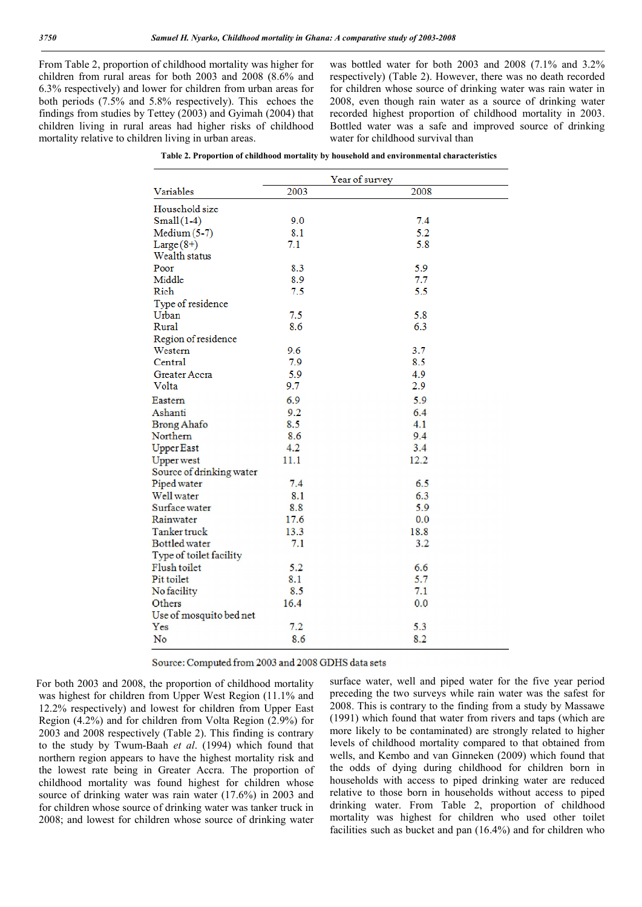From Table 2, proportion of childhood mortality was higher for children from rural areas for both 2003 and 2008 (8.6% and 6.3% respectively) and lower for children from urban areas for both periods (7.5% and 5.8% respectively). This echoes the findings from studies by Tettey (2003) and Gyimah (2004) that children living in rural areas had higher risks of childhood mortality relative to children living in urban areas.

was bottled water for both 2003 and 2008 (7.1% and 3.2% respectively) (Table 2). However, there was no death recorded for children whose source of drinking water was rain water in 2008, even though rain water as a source of drinking water recorded highest proportion of childhood mortality in 2003. Bottled water was a safe and improved source of drinking water for childhood survival than

|                          |      | Year of survey |
|--------------------------|------|----------------|
| Variables                | 2003 | 2008           |
| Household size           |      |                |
| $Small(1-4)$             | 9.0  | 7.4            |
| $Median (5-7)$           | 8.1  | 5.2            |
| Large $(8+)$             | 7.1  | 5.8            |
| Wealth status            |      |                |
| Poor                     | 8.3  | 5.9            |
| Middle                   | 8.9  | 7.7            |
| Rich                     | 7.5  | 5.5            |
| Type of residence        |      |                |
| Urban                    | 7.5  | 5.8            |
| Rural                    | 8.6  | 6.3            |
| Region of residence      |      |                |
| Western                  | 9.6  | 3.7            |
| Central                  | 7.9  | 8.5            |
| Greater Accra            | 5.9  | 4.9            |
| Volta                    | 9.7  | 2.9            |
| Eastern                  | 6.9  | 5.9            |
| Ashanti                  | 9.2  | 6.4            |
| <b>Brong Ahafo</b>       | 8.5  | 4.1            |
| Northern                 | 8.6  | 9.4            |
| <b>Upper East</b>        | 4.2  | 3.4            |
| <b>Upper west</b>        | 11.1 | 12.2           |
| Source of drinking water |      |                |
| Piped water              | 7.4  | 6.5            |
| Well water               | 8.1  | 6.3            |
| Surface water            | 8.8  | 5.9            |
| Rainwater                | 17.6 | 0.0            |
| Tanker truck             | 13.3 | 18.8           |
| Bottled water            | 7.1  | 3.2            |
| Type of toilet facility  |      |                |
| Flush toilet             | 5.2  | 6.6            |
| Pit toilet               | 8.1  | 5.7            |
| No facility              | 8.5  | 7.1            |
| Others                   | 16.4 | 0.0            |
| Use of mosquito bed net  |      |                |
| Yes                      | 7.2  | 5.3            |
| No                       | 8.6  | 8.2            |

| Table 2. Proportion of childhood mortality by household and environmental characteristics |  |  |  |  |  |  |  |
|-------------------------------------------------------------------------------------------|--|--|--|--|--|--|--|
|-------------------------------------------------------------------------------------------|--|--|--|--|--|--|--|

Source: Computed from 2003 and 2008 GDHS data sets

 For both 2003 and 2008, the proportion of childhood mortality was highest for children from Upper West Region (11.1% and 12.2% respectively) and lowest for children from Upper East Region (4.2%) and for children from Volta Region (2.9%) for 2003 and 2008 respectively (Table 2). This finding is contrary to the study by Twum-Baah *et al*. (1994) which found that northern region appears to have the highest mortality risk and the lowest rate being in Greater Accra. The proportion of childhood mortality was found highest for children whose source of drinking water was rain water (17.6%) in 2003 and for children whose source of drinking water was tanker truck in 2008; and lowest for children whose source of drinking water

surface water, well and piped water for the five year period preceding the two surveys while rain water was the safest for 2008. This is contrary to the finding from a study by Massawe (1991) which found that water from rivers and taps (which are more likely to be contaminated) are strongly related to higher levels of childhood mortality compared to that obtained from wells, and Kembo and van Ginneken (2009) which found that the odds of dying during childhood for children born in households with access to piped drinking water are reduced relative to those born in households without access to piped drinking water. From Table 2, proportion of childhood mortality was highest for children who used other toilet facilities such as bucket and pan (16.4%) and for children who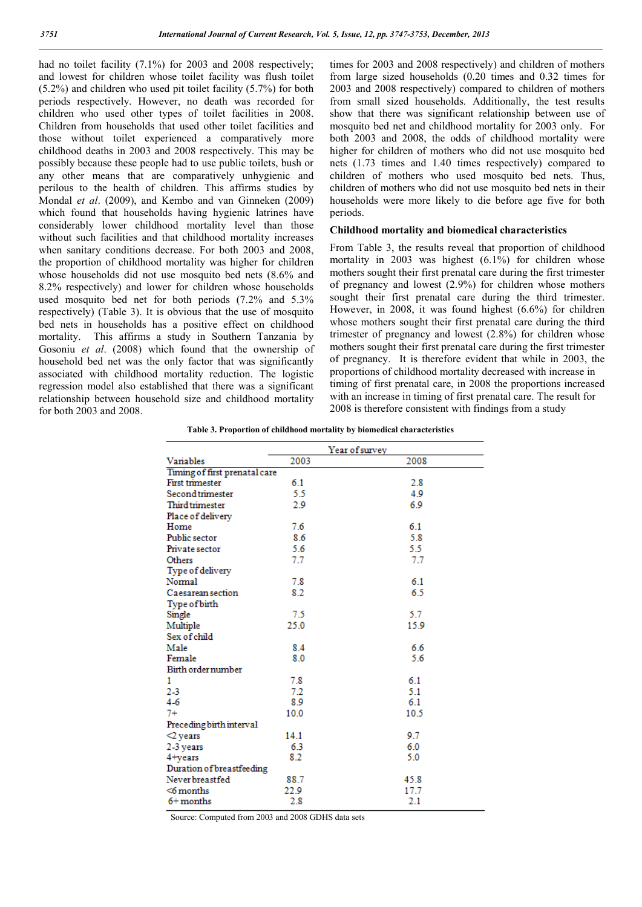had no toilet facility (7.1%) for 2003 and 2008 respectively; and lowest for children whose toilet facility was flush toilet (5.2%) and children who used pit toilet facility (5.7%) for both periods respectively. However, no death was recorded for children who used other types of toilet facilities in 2008. Children from households that used other toilet facilities and those without toilet experienced a comparatively more childhood deaths in 2003 and 2008 respectively. This may be possibly because these people had to use public toilets, bush or any other means that are comparatively unhygienic and perilous to the health of children. This affirms studies by Mondal *et al*. (2009), and Kembo and van Ginneken (2009) which found that households having hygienic latrines have considerably lower childhood mortality level than those without such facilities and that childhood mortality increases when sanitary conditions decrease. For both 2003 and 2008, the proportion of childhood mortality was higher for children whose households did not use mosquito bed nets (8.6% and 8.2% respectively) and lower for children whose households used mosquito bed net for both periods (7.2% and 5.3% respectively) (Table 3). It is obvious that the use of mosquito bed nets in households has a positive effect on childhood mortality. This affirms a study in Southern Tanzania by Gosoniu *et al*. (2008) which found that the ownership of household bed net was the only factor that was significantly associated with childhood mortality reduction. The logistic regression model also established that there was a significant relationship between household size and childhood mortality for both 2003 and 2008.

times for 2003 and 2008 respectively) and children of mothers from large sized households (0.20 times and 0.32 times for 2003 and 2008 respectively) compared to children of mothers from small sized households. Additionally, the test results show that there was significant relationship between use of mosquito bed net and childhood mortality for 2003 only. For both 2003 and 2008, the odds of childhood mortality were higher for children of mothers who did not use mosquito bed nets (1.73 times and 1.40 times respectively) compared to children of mothers who used mosquito bed nets. Thus, children of mothers who did not use mosquito bed nets in their households were more likely to die before age five for both periods.

#### Childhood mortality and biomedical characteristics

From Table 3, the results reveal that proportion of childhood mortality in 2003 was highest (6.1%) for children whose mothers sought their first prenatal care during the first trimester of pregnancy and lowest (2.9%) for children whose mothers sought their first prenatal care during the third trimester. However, in 2008, it was found highest (6.6%) for children whose mothers sought their first prenatal care during the third trimester of pregnancy and lowest (2.8%) for children whose mothers sought their first prenatal care during the first trimester of pregnancy. It is therefore evident that while in 2003, the proportions of childhood mortality decreased with increase in timing of first prenatal care, in 2008 the proportions increased with an increase in timing of first prenatal care. The result for 2008 is therefore consistent with findings from a study

Table 3. Proportion of childhood mortality by biomedical characteristics

|                               |      | Year of survey |
|-------------------------------|------|----------------|
| Variables                     | 2003 | 2008           |
| Timing of first prenatal care |      |                |
| <b>First trimester</b>        | 6.1  | 2.8            |
| Second trimester              | 5.5  | 4.9            |
| Third trimester               | 2.9  | 6.9            |
| Place of delivery             |      |                |
| Home                          | 7.6  | 6.1            |
| Public sector                 | 8.6  | 5.8            |
| Private sector                | 5.6  | 5.5            |
| Others                        | 7.7  | 7.7            |
| Type of delivery              |      |                |
| Normal                        | 7.8  | 6.1            |
| Caesarean section             | 8.2  | 6.5            |
| Type of birth                 |      |                |
| Single                        | 7.5  | 5.7            |
| Multiple                      | 25.0 | 15.9           |
| Sex of child                  |      |                |
| Male                          | 8.4  | 6.6            |
| Female                        | 8.0  | 5.6            |
| Birth order number            |      |                |
| 1                             | 7.8  | 6.1            |
| $2-3$                         | 7.2  | 5.1            |
| 4-6                           | 8.9  | 6.1            |
| $7+$                          | 10.0 | 10.5           |
| Preceding birth interval      |      |                |
| $\vartriangle$ years          | 14.1 | 9.7            |
| 2-3 years                     | 6.3  | 6.0            |
| 4+years                       | 8.2  | 5.0            |
| Duration of breastfeeding     |      |                |
| Neverbreastfed                | 88.7 | 45.8           |
| $<$ 6 months                  | 22.9 | 17.7           |
| $6+$ months                   | 2.8  | 2.1            |

Source: Computed from 2003 and 2008 GDHS data sets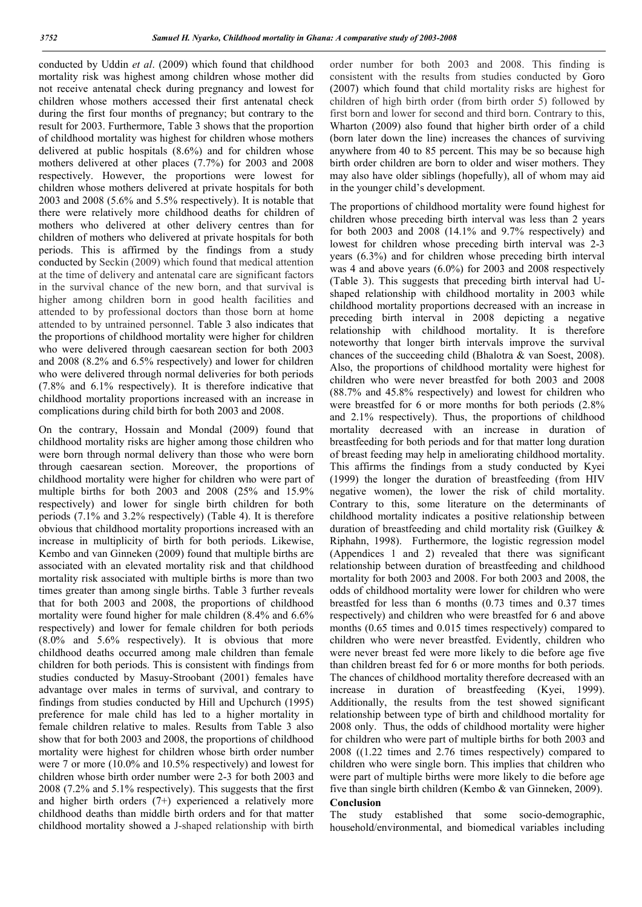conducted by Uddin *et al*. (2009) which found that childhood mortality risk was highest among children whose mother did not receive antenatal check during pregnancy and lowest for children whose mothers accessed their first antenatal check during the first four months of pregnancy; but contrary to the result for 2003. Furthermore, Table 3 shows that the proportion of childhood mortality was highest for children whose mothers delivered at public hospitals (8.6%) and for children whose mothers delivered at other places (7.7%) for 2003 and 2008 respectively. However, the proportions were lowest for children whose mothers delivered at private hospitals for both 2003 and 2008 (5.6% and 5.5% respectively). It is notable that there were relatively more childhood deaths for children of mothers who delivered at other delivery centres than for children of mothers who delivered at private hospitals for both periods. This is affirmed by the findings from a study conducted by Seckin (2009) which found that medical attention at the time of delivery and antenatal care are significant factors in the survival chance of the new born, and that survival is higher among children born in good health facilities and attended to by professional doctors than those born at home attended to by untrained personnel. Table 3 also indicates that the proportions of childhood mortality were higher for children who were delivered through caesarean section for both 2003 and 2008 (8.2% and 6.5% respectively) and lower for children who were delivered through normal deliveries for both periods (7.8% and 6.1% respectively). It is therefore indicative that childhood mortality proportions increased with an increase in complications during child birth for both 2003 and 2008.

On the contrary, Hossain and Mondal (2009) found that childhood mortality risks are higher among those children who were born through normal delivery than those who were born through caesarean section. Moreover, the proportions of childhood mortality were higher for children who were part of multiple births for both 2003 and 2008 (25% and 15.9% respectively) and lower for single birth children for both periods (7.1% and 3.2% respectively) (Table 4). It is therefore obvious that childhood mortality proportions increased with an increase in multiplicity of birth for both periods. Likewise, Kembo and van Ginneken (2009) found that multiple births are associated with an elevated mortality risk and that childhood mortality risk associated with multiple births is more than two times greater than among single births. Table 3 further reveals that for both 2003 and 2008, the proportions of childhood mortality were found higher for male children (8.4% and 6.6% respectively) and lower for female children for both periods (8.0% and 5.6% respectively). It is obvious that more childhood deaths occurred among male children than female children for both periods. This is consistent with findings from studies conducted by Masuy-Stroobant (2001) females have advantage over males in terms of survival, and contrary to findings from studies conducted by Hill and Upchurch (1995) preference for male child has led to a higher mortality in female children relative to males. Results from Table 3 also show that for both 2003 and 2008, the proportions of childhood mortality were highest for children whose birth order number were 7 or more (10.0% and 10.5% respectively) and lowest for children whose birth order number were 2-3 for both 2003 and 2008 (7.2% and 5.1% respectively). This suggests that the first and higher birth orders (7+) experienced a relatively more childhood deaths than middle birth orders and for that matter childhood mortality showed a J-shaped relationship with birth

order number for both 2003 and 2008. This finding is consistent with the results from studies conducted by Goro (2007) which found that child mortality risks are highest for children of high birth order (from birth order 5) followed by first born and lower for second and third born. Contrary to this, Wharton (2009) also found that higher birth order of a child (born later down the line) increases the chances of surviving anywhere from 40 to 85 percent. This may be so because high birth order children are born to older and wiser mothers. They may also have older siblings (hopefully), all of whom may aid in the younger child's development.

The proportions of childhood mortality were found highest for children whose preceding birth interval was less than 2 years for both 2003 and 2008 (14.1% and 9.7% respectively) and lowest for children whose preceding birth interval was 2-3 years (6.3%) and for children whose preceding birth interval was 4 and above years (6.0%) for 2003 and 2008 respectively (Table 3). This suggests that preceding birth interval had Ushaped relationship with childhood mortality in 2003 while childhood mortality proportions decreased with an increase in preceding birth interval in 2008 depicting a negative relationship with childhood mortality. It is therefore noteworthy that longer birth intervals improve the survival chances of the succeeding child (Bhalotra & van Soest, 2008). Also, the proportions of childhood mortality were highest for children who were never breastfed for both 2003 and 2008 (88.7% and 45.8% respectively) and lowest for children who were breastfed for 6 or more months for both periods (2.8% and 2.1% respectively). Thus, the proportions of childhood mortality decreased with an increase in duration of breastfeeding for both periods and for that matter long duration of breast feeding may help in ameliorating childhood mortality. This affirms the findings from a study conducted by Kyei (1999) the longer the duration of breastfeeding (from HIV negative women), the lower the risk of child mortality. Contrary to this, some literature on the determinants of childhood mortality indicates a positive relationship between duration of breastfeeding and child mortality risk (Guilkey & Riphahn, 1998). Furthermore, the logistic regression model (Appendices 1 and 2) revealed that there was significant relationship between duration of breastfeeding and childhood mortality for both 2003 and 2008. For both 2003 and 2008, the odds of childhood mortality were lower for children who were breastfed for less than 6 months (0.73 times and 0.37 times respectively) and children who were breastfed for 6 and above months (0.65 times and 0.015 times respectively) compared to children who were never breastfed. Evidently, children who were never breast fed were more likely to die before age five than children breast fed for 6 or more months for both periods. The chances of childhood mortality therefore decreased with an increase in duration of breastfeeding (Kyei, 1999). Additionally, the results from the test showed significant relationship between type of birth and childhood mortality for 2008 only. Thus, the odds of childhood mortality were higher for children who were part of multiple births for both 2003 and 2008 ((1.22 times and 2.76 times respectively) compared to children who were single born. This implies that children who were part of multiple births were more likely to die before age five than single birth children (Kembo & van Ginneken, 2009).

#### Conclusion

The study established that some socio-demographic, household/environmental, and biomedical variables including